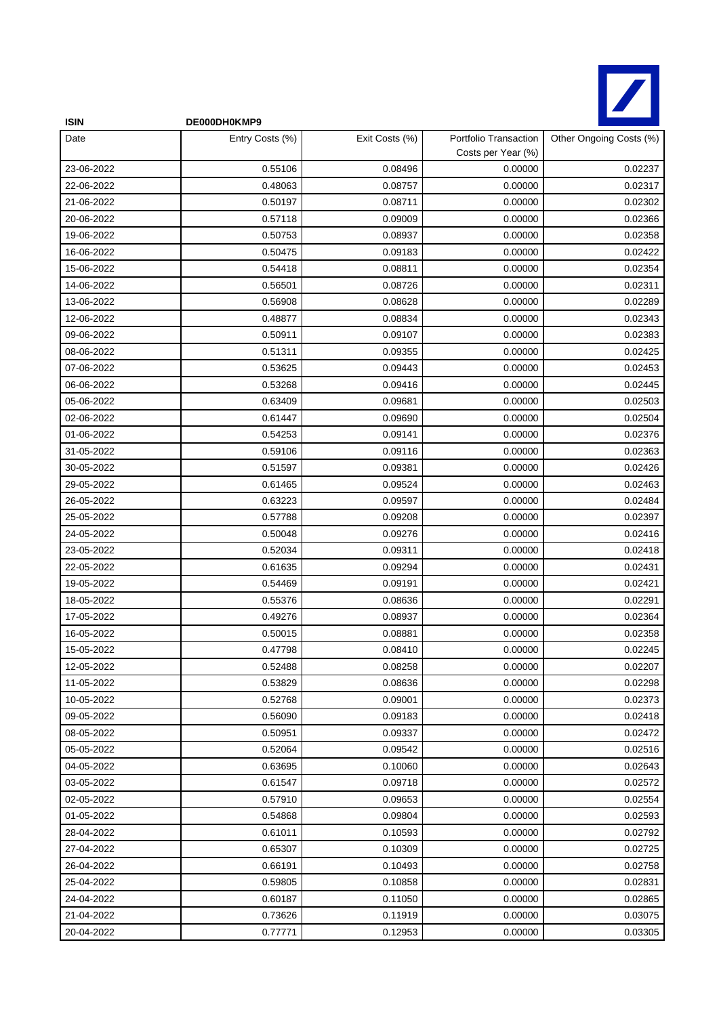

| <b>ISIN</b> | DE000DH0KMP9    |                |                                             |                         |
|-------------|-----------------|----------------|---------------------------------------------|-------------------------|
| Date        | Entry Costs (%) | Exit Costs (%) | Portfolio Transaction<br>Costs per Year (%) | Other Ongoing Costs (%) |
| 23-06-2022  | 0.55106         | 0.08496        | 0.00000                                     | 0.02237                 |
| 22-06-2022  | 0.48063         | 0.08757        | 0.00000                                     | 0.02317                 |
| 21-06-2022  | 0.50197         | 0.08711        | 0.00000                                     | 0.02302                 |
| 20-06-2022  | 0.57118         | 0.09009        | 0.00000                                     | 0.02366                 |
| 19-06-2022  | 0.50753         | 0.08937        | 0.00000                                     | 0.02358                 |
| 16-06-2022  | 0.50475         | 0.09183        | 0.00000                                     | 0.02422                 |
| 15-06-2022  | 0.54418         | 0.08811        | 0.00000                                     | 0.02354                 |
| 14-06-2022  | 0.56501         | 0.08726        | 0.00000                                     | 0.02311                 |
| 13-06-2022  | 0.56908         | 0.08628        | 0.00000                                     | 0.02289                 |
| 12-06-2022  | 0.48877         | 0.08834        | 0.00000                                     | 0.02343                 |
| 09-06-2022  | 0.50911         | 0.09107        | 0.00000                                     | 0.02383                 |
| 08-06-2022  | 0.51311         | 0.09355        | 0.00000                                     | 0.02425                 |
| 07-06-2022  | 0.53625         | 0.09443        | 0.00000                                     | 0.02453                 |
| 06-06-2022  | 0.53268         | 0.09416        | 0.00000                                     | 0.02445                 |
| 05-06-2022  | 0.63409         | 0.09681        | 0.00000                                     | 0.02503                 |
| 02-06-2022  | 0.61447         | 0.09690        | 0.00000                                     | 0.02504                 |
| 01-06-2022  | 0.54253         | 0.09141        | 0.00000                                     | 0.02376                 |
| 31-05-2022  | 0.59106         | 0.09116        | 0.00000                                     | 0.02363                 |
| 30-05-2022  | 0.51597         | 0.09381        | 0.00000                                     | 0.02426                 |
| 29-05-2022  | 0.61465         | 0.09524        | 0.00000                                     | 0.02463                 |
| 26-05-2022  | 0.63223         | 0.09597        | 0.00000                                     | 0.02484                 |
| 25-05-2022  | 0.57788         | 0.09208        | 0.00000                                     | 0.02397                 |
| 24-05-2022  | 0.50048         | 0.09276        | 0.00000                                     | 0.02416                 |
| 23-05-2022  | 0.52034         | 0.09311        | 0.00000                                     | 0.02418                 |
| 22-05-2022  | 0.61635         | 0.09294        | 0.00000                                     | 0.02431                 |
| 19-05-2022  | 0.54469         | 0.09191        | 0.00000                                     | 0.02421                 |
| 18-05-2022  | 0.55376         | 0.08636        | 0.00000                                     | 0.02291                 |
| 17-05-2022  | 0.49276         | 0.08937        | 0.00000                                     | 0.02364                 |
| 16-05-2022  | 0.50015         | 0.08881        | 0.00000                                     | 0.02358                 |
| 15-05-2022  | 0.47798         | 0.08410        | 0.00000                                     | 0.02245                 |
| 12-05-2022  | 0.52488         | 0.08258        | 0.00000                                     | 0.02207                 |
| 11-05-2022  | 0.53829         | 0.08636        | 0.00000                                     | 0.02298                 |
| 10-05-2022  | 0.52768         | 0.09001        | 0.00000                                     | 0.02373                 |
| 09-05-2022  | 0.56090         | 0.09183        | 0.00000                                     | 0.02418                 |
| 08-05-2022  | 0.50951         | 0.09337        | 0.00000                                     | 0.02472                 |
| 05-05-2022  | 0.52064         | 0.09542        | 0.00000                                     | 0.02516                 |
| 04-05-2022  | 0.63695         | 0.10060        | 0.00000                                     | 0.02643                 |
| 03-05-2022  | 0.61547         | 0.09718        | 0.00000                                     | 0.02572                 |
| 02-05-2022  | 0.57910         | 0.09653        | 0.00000                                     | 0.02554                 |
| 01-05-2022  | 0.54868         | 0.09804        | 0.00000                                     | 0.02593                 |
| 28-04-2022  | 0.61011         | 0.10593        | 0.00000                                     | 0.02792                 |
| 27-04-2022  | 0.65307         | 0.10309        | 0.00000                                     | 0.02725                 |
| 26-04-2022  | 0.66191         | 0.10493        | 0.00000                                     | 0.02758                 |
| 25-04-2022  | 0.59805         | 0.10858        | 0.00000                                     | 0.02831                 |
| 24-04-2022  | 0.60187         | 0.11050        | 0.00000                                     | 0.02865                 |
| 21-04-2022  | 0.73626         | 0.11919        | 0.00000                                     | 0.03075                 |
| 20-04-2022  | 0.77771         | 0.12953        | 0.00000                                     | 0.03305                 |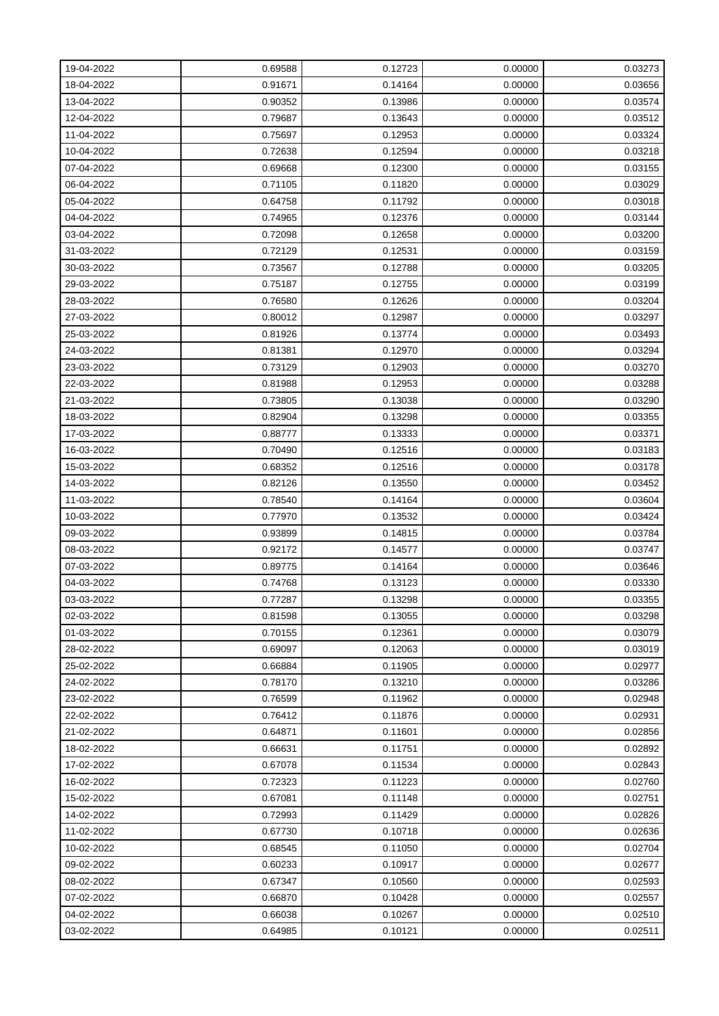| 19-04-2022 | 0.69588 | 0.12723 | 0.00000 | 0.03273 |
|------------|---------|---------|---------|---------|
| 18-04-2022 | 0.91671 | 0.14164 | 0.00000 | 0.03656 |
| 13-04-2022 | 0.90352 | 0.13986 | 0.00000 | 0.03574 |
| 12-04-2022 | 0.79687 | 0.13643 | 0.00000 | 0.03512 |
| 11-04-2022 | 0.75697 | 0.12953 | 0.00000 | 0.03324 |
| 10-04-2022 | 0.72638 | 0.12594 | 0.00000 | 0.03218 |
| 07-04-2022 | 0.69668 | 0.12300 | 0.00000 | 0.03155 |
| 06-04-2022 | 0.71105 | 0.11820 | 0.00000 | 0.03029 |
| 05-04-2022 | 0.64758 | 0.11792 | 0.00000 | 0.03018 |
| 04-04-2022 | 0.74965 | 0.12376 | 0.00000 | 0.03144 |
| 03-04-2022 | 0.72098 | 0.12658 | 0.00000 | 0.03200 |
| 31-03-2022 | 0.72129 | 0.12531 | 0.00000 | 0.03159 |
| 30-03-2022 | 0.73567 | 0.12788 | 0.00000 | 0.03205 |
| 29-03-2022 | 0.75187 | 0.12755 | 0.00000 | 0.03199 |
| 28-03-2022 | 0.76580 | 0.12626 | 0.00000 | 0.03204 |
| 27-03-2022 | 0.80012 | 0.12987 | 0.00000 | 0.03297 |
| 25-03-2022 | 0.81926 | 0.13774 | 0.00000 | 0.03493 |
| 24-03-2022 | 0.81381 | 0.12970 | 0.00000 | 0.03294 |
| 23-03-2022 | 0.73129 | 0.12903 | 0.00000 | 0.03270 |
| 22-03-2022 | 0.81988 | 0.12953 | 0.00000 | 0.03288 |
| 21-03-2022 | 0.73805 | 0.13038 | 0.00000 | 0.03290 |
| 18-03-2022 | 0.82904 | 0.13298 | 0.00000 | 0.03355 |
| 17-03-2022 | 0.88777 | 0.13333 | 0.00000 | 0.03371 |
| 16-03-2022 | 0.70490 | 0.12516 | 0.00000 | 0.03183 |
| 15-03-2022 | 0.68352 | 0.12516 | 0.00000 | 0.03178 |
| 14-03-2022 | 0.82126 | 0.13550 | 0.00000 | 0.03452 |
| 11-03-2022 | 0.78540 | 0.14164 | 0.00000 | 0.03604 |
| 10-03-2022 | 0.77970 | 0.13532 | 0.00000 | 0.03424 |
| 09-03-2022 | 0.93899 | 0.14815 | 0.00000 | 0.03784 |
| 08-03-2022 | 0.92172 | 0.14577 | 0.00000 | 0.03747 |
| 07-03-2022 | 0.89775 | 0.14164 | 0.00000 | 0.03646 |
| 04-03-2022 | 0.74768 | 0.13123 | 0.00000 | 0.03330 |
| 03-03-2022 | 0.77287 | 0.13298 | 0.00000 | 0.03355 |
| 02-03-2022 | 0.81598 | 0.13055 | 0.00000 | 0.03298 |
| 01-03-2022 | 0.70155 | 0.12361 | 0.00000 | 0.03079 |
| 28-02-2022 | 0.69097 | 0.12063 | 0.00000 | 0.03019 |
| 25-02-2022 | 0.66884 | 0.11905 | 0.00000 | 0.02977 |
| 24-02-2022 | 0.78170 | 0.13210 | 0.00000 | 0.03286 |
| 23-02-2022 | 0.76599 | 0.11962 | 0.00000 | 0.02948 |
| 22-02-2022 | 0.76412 | 0.11876 | 0.00000 | 0.02931 |
| 21-02-2022 | 0.64871 | 0.11601 | 0.00000 | 0.02856 |
| 18-02-2022 | 0.66631 | 0.11751 | 0.00000 | 0.02892 |
| 17-02-2022 | 0.67078 | 0.11534 | 0.00000 | 0.02843 |
| 16-02-2022 | 0.72323 | 0.11223 | 0.00000 | 0.02760 |
| 15-02-2022 | 0.67081 | 0.11148 | 0.00000 | 0.02751 |
| 14-02-2022 | 0.72993 | 0.11429 | 0.00000 | 0.02826 |
| 11-02-2022 | 0.67730 | 0.10718 | 0.00000 | 0.02636 |
| 10-02-2022 | 0.68545 | 0.11050 | 0.00000 | 0.02704 |
| 09-02-2022 | 0.60233 | 0.10917 | 0.00000 | 0.02677 |
| 08-02-2022 | 0.67347 | 0.10560 | 0.00000 | 0.02593 |
| 07-02-2022 | 0.66870 | 0.10428 | 0.00000 | 0.02557 |
| 04-02-2022 | 0.66038 | 0.10267 | 0.00000 | 0.02510 |
| 03-02-2022 | 0.64985 | 0.10121 | 0.00000 | 0.02511 |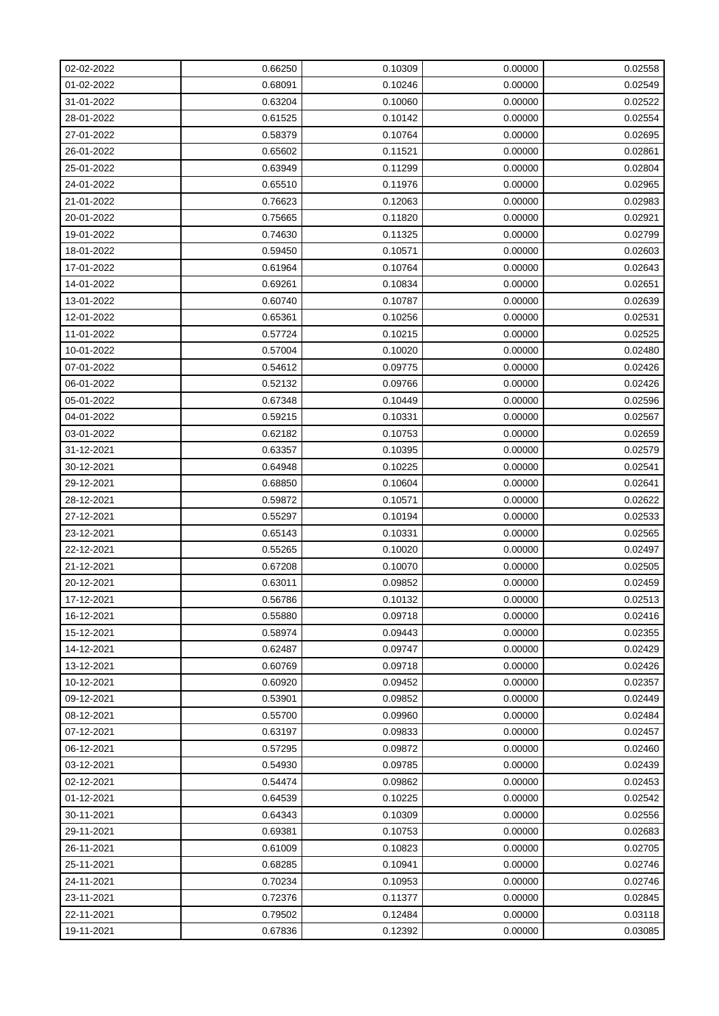| 02-02-2022 | 0.66250 | 0.10309 | 0.00000 | 0.02558 |
|------------|---------|---------|---------|---------|
| 01-02-2022 | 0.68091 | 0.10246 | 0.00000 | 0.02549 |
| 31-01-2022 | 0.63204 | 0.10060 | 0.00000 | 0.02522 |
| 28-01-2022 | 0.61525 | 0.10142 | 0.00000 | 0.02554 |
| 27-01-2022 | 0.58379 | 0.10764 | 0.00000 | 0.02695 |
| 26-01-2022 | 0.65602 | 0.11521 | 0.00000 | 0.02861 |
| 25-01-2022 | 0.63949 | 0.11299 | 0.00000 | 0.02804 |
| 24-01-2022 | 0.65510 | 0.11976 | 0.00000 | 0.02965 |
| 21-01-2022 | 0.76623 | 0.12063 | 0.00000 | 0.02983 |
| 20-01-2022 | 0.75665 | 0.11820 | 0.00000 | 0.02921 |
| 19-01-2022 | 0.74630 | 0.11325 | 0.00000 | 0.02799 |
| 18-01-2022 | 0.59450 | 0.10571 | 0.00000 | 0.02603 |
| 17-01-2022 | 0.61964 | 0.10764 | 0.00000 | 0.02643 |
| 14-01-2022 | 0.69261 | 0.10834 | 0.00000 | 0.02651 |
| 13-01-2022 | 0.60740 | 0.10787 | 0.00000 | 0.02639 |
| 12-01-2022 | 0.65361 | 0.10256 | 0.00000 | 0.02531 |
| 11-01-2022 | 0.57724 | 0.10215 | 0.00000 | 0.02525 |
| 10-01-2022 | 0.57004 | 0.10020 | 0.00000 | 0.02480 |
| 07-01-2022 | 0.54612 | 0.09775 | 0.00000 | 0.02426 |
| 06-01-2022 | 0.52132 | 0.09766 | 0.00000 | 0.02426 |
| 05-01-2022 | 0.67348 | 0.10449 | 0.00000 | 0.02596 |
| 04-01-2022 | 0.59215 | 0.10331 | 0.00000 | 0.02567 |
| 03-01-2022 | 0.62182 | 0.10753 | 0.00000 | 0.02659 |
| 31-12-2021 | 0.63357 | 0.10395 | 0.00000 | 0.02579 |
| 30-12-2021 | 0.64948 | 0.10225 | 0.00000 | 0.02541 |
| 29-12-2021 | 0.68850 | 0.10604 | 0.00000 | 0.02641 |
| 28-12-2021 | 0.59872 | 0.10571 | 0.00000 | 0.02622 |
| 27-12-2021 | 0.55297 | 0.10194 | 0.00000 | 0.02533 |
| 23-12-2021 | 0.65143 | 0.10331 | 0.00000 | 0.02565 |
| 22-12-2021 | 0.55265 | 0.10020 | 0.00000 | 0.02497 |
| 21-12-2021 | 0.67208 | 0.10070 | 0.00000 | 0.02505 |
| 20-12-2021 | 0.63011 | 0.09852 | 0.00000 | 0.02459 |
| 17-12-2021 | 0.56786 | 0.10132 | 0.00000 | 0.02513 |
| 16-12-2021 | 0.55880 | 0.09718 | 0.00000 | 0.02416 |
| 15-12-2021 | 0.58974 | 0.09443 | 0.00000 | 0.02355 |
| 14-12-2021 | 0.62487 | 0.09747 | 0.00000 | 0.02429 |
| 13-12-2021 | 0.60769 | 0.09718 | 0.00000 | 0.02426 |
| 10-12-2021 | 0.60920 | 0.09452 | 0.00000 | 0.02357 |
| 09-12-2021 | 0.53901 | 0.09852 | 0.00000 | 0.02449 |
| 08-12-2021 | 0.55700 | 0.09960 | 0.00000 | 0.02484 |
| 07-12-2021 | 0.63197 | 0.09833 | 0.00000 | 0.02457 |
| 06-12-2021 | 0.57295 | 0.09872 | 0.00000 | 0.02460 |
| 03-12-2021 | 0.54930 | 0.09785 | 0.00000 | 0.02439 |
| 02-12-2021 | 0.54474 | 0.09862 | 0.00000 | 0.02453 |
| 01-12-2021 | 0.64539 | 0.10225 | 0.00000 | 0.02542 |
| 30-11-2021 | 0.64343 | 0.10309 | 0.00000 | 0.02556 |
| 29-11-2021 | 0.69381 | 0.10753 | 0.00000 | 0.02683 |
| 26-11-2021 | 0.61009 | 0.10823 | 0.00000 | 0.02705 |
| 25-11-2021 | 0.68285 | 0.10941 | 0.00000 | 0.02746 |
| 24-11-2021 | 0.70234 | 0.10953 | 0.00000 | 0.02746 |
| 23-11-2021 | 0.72376 | 0.11377 | 0.00000 | 0.02845 |
| 22-11-2021 | 0.79502 | 0.12484 | 0.00000 | 0.03118 |
| 19-11-2021 | 0.67836 | 0.12392 | 0.00000 | 0.03085 |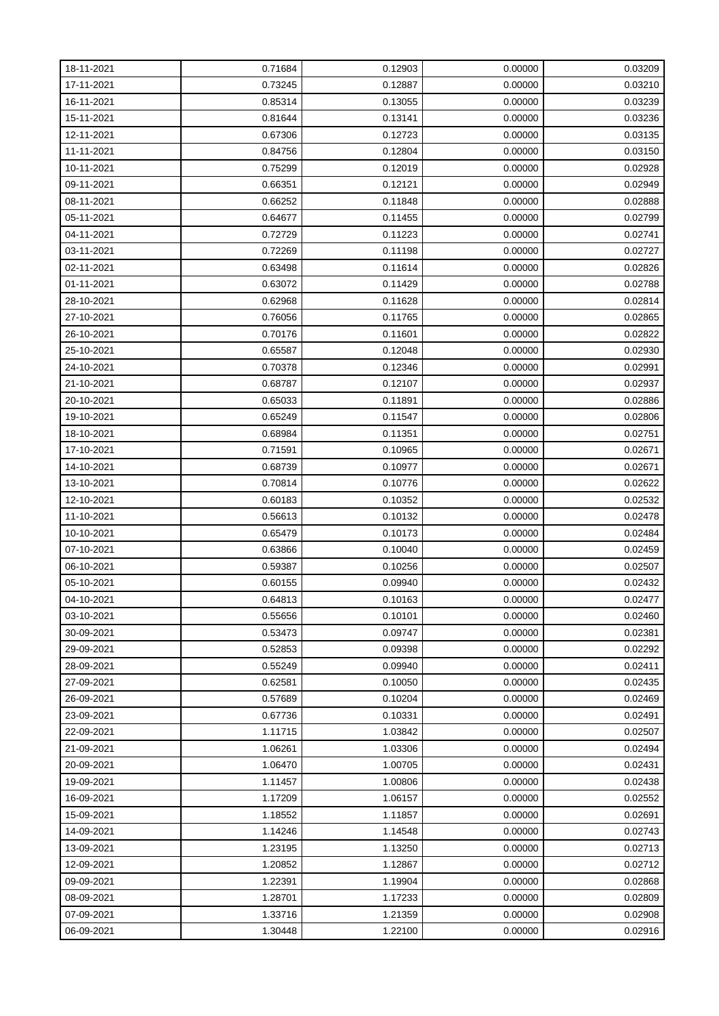| 18-11-2021 | 0.71684 | 0.12903 | 0.00000 | 0.03209 |
|------------|---------|---------|---------|---------|
| 17-11-2021 | 0.73245 | 0.12887 | 0.00000 | 0.03210 |
| 16-11-2021 | 0.85314 | 0.13055 | 0.00000 | 0.03239 |
| 15-11-2021 | 0.81644 | 0.13141 | 0.00000 | 0.03236 |
| 12-11-2021 | 0.67306 | 0.12723 | 0.00000 | 0.03135 |
| 11-11-2021 | 0.84756 | 0.12804 | 0.00000 | 0.03150 |
| 10-11-2021 | 0.75299 | 0.12019 | 0.00000 | 0.02928 |
| 09-11-2021 | 0.66351 | 0.12121 | 0.00000 | 0.02949 |
| 08-11-2021 | 0.66252 | 0.11848 | 0.00000 | 0.02888 |
| 05-11-2021 | 0.64677 | 0.11455 | 0.00000 | 0.02799 |
| 04-11-2021 | 0.72729 | 0.11223 | 0.00000 | 0.02741 |
| 03-11-2021 | 0.72269 | 0.11198 | 0.00000 | 0.02727 |
| 02-11-2021 | 0.63498 | 0.11614 | 0.00000 | 0.02826 |
| 01-11-2021 | 0.63072 | 0.11429 | 0.00000 | 0.02788 |
| 28-10-2021 | 0.62968 | 0.11628 | 0.00000 | 0.02814 |
| 27-10-2021 | 0.76056 | 0.11765 | 0.00000 | 0.02865 |
| 26-10-2021 | 0.70176 | 0.11601 | 0.00000 | 0.02822 |
| 25-10-2021 | 0.65587 | 0.12048 | 0.00000 | 0.02930 |
| 24-10-2021 | 0.70378 | 0.12346 | 0.00000 | 0.02991 |
| 21-10-2021 | 0.68787 | 0.12107 | 0.00000 | 0.02937 |
| 20-10-2021 | 0.65033 | 0.11891 | 0.00000 | 0.02886 |
| 19-10-2021 | 0.65249 | 0.11547 | 0.00000 | 0.02806 |
| 18-10-2021 | 0.68984 | 0.11351 | 0.00000 | 0.02751 |
| 17-10-2021 | 0.71591 | 0.10965 | 0.00000 | 0.02671 |
| 14-10-2021 | 0.68739 | 0.10977 | 0.00000 | 0.02671 |
| 13-10-2021 | 0.70814 | 0.10776 | 0.00000 | 0.02622 |
| 12-10-2021 | 0.60183 | 0.10352 | 0.00000 | 0.02532 |
| 11-10-2021 | 0.56613 | 0.10132 | 0.00000 | 0.02478 |
| 10-10-2021 | 0.65479 | 0.10173 | 0.00000 | 0.02484 |
| 07-10-2021 | 0.63866 | 0.10040 | 0.00000 | 0.02459 |
| 06-10-2021 | 0.59387 | 0.10256 | 0.00000 | 0.02507 |
| 05-10-2021 | 0.60155 | 0.09940 | 0.00000 | 0.02432 |
| 04-10-2021 | 0.64813 | 0.10163 | 0.00000 | 0.02477 |
| 03-10-2021 | 0.55656 | 0.10101 | 0.00000 | 0.02460 |
| 30-09-2021 | 0.53473 | 0.09747 | 0.00000 | 0.02381 |
| 29-09-2021 | 0.52853 | 0.09398 | 0.00000 | 0.02292 |
| 28-09-2021 | 0.55249 | 0.09940 | 0.00000 | 0.02411 |
| 27-09-2021 | 0.62581 | 0.10050 | 0.00000 | 0.02435 |
| 26-09-2021 | 0.57689 | 0.10204 | 0.00000 | 0.02469 |
| 23-09-2021 | 0.67736 | 0.10331 | 0.00000 | 0.02491 |
| 22-09-2021 | 1.11715 | 1.03842 | 0.00000 | 0.02507 |
| 21-09-2021 | 1.06261 | 1.03306 | 0.00000 | 0.02494 |
| 20-09-2021 | 1.06470 | 1.00705 | 0.00000 | 0.02431 |
| 19-09-2021 | 1.11457 | 1.00806 | 0.00000 | 0.02438 |
| 16-09-2021 | 1.17209 | 1.06157 | 0.00000 | 0.02552 |
| 15-09-2021 | 1.18552 | 1.11857 | 0.00000 | 0.02691 |
| 14-09-2021 | 1.14246 | 1.14548 | 0.00000 | 0.02743 |
| 13-09-2021 | 1.23195 | 1.13250 | 0.00000 | 0.02713 |
| 12-09-2021 | 1.20852 | 1.12867 | 0.00000 | 0.02712 |
| 09-09-2021 | 1.22391 | 1.19904 | 0.00000 | 0.02868 |
| 08-09-2021 | 1.28701 | 1.17233 | 0.00000 | 0.02809 |
| 07-09-2021 | 1.33716 | 1.21359 | 0.00000 | 0.02908 |
| 06-09-2021 | 1.30448 | 1.22100 | 0.00000 | 0.02916 |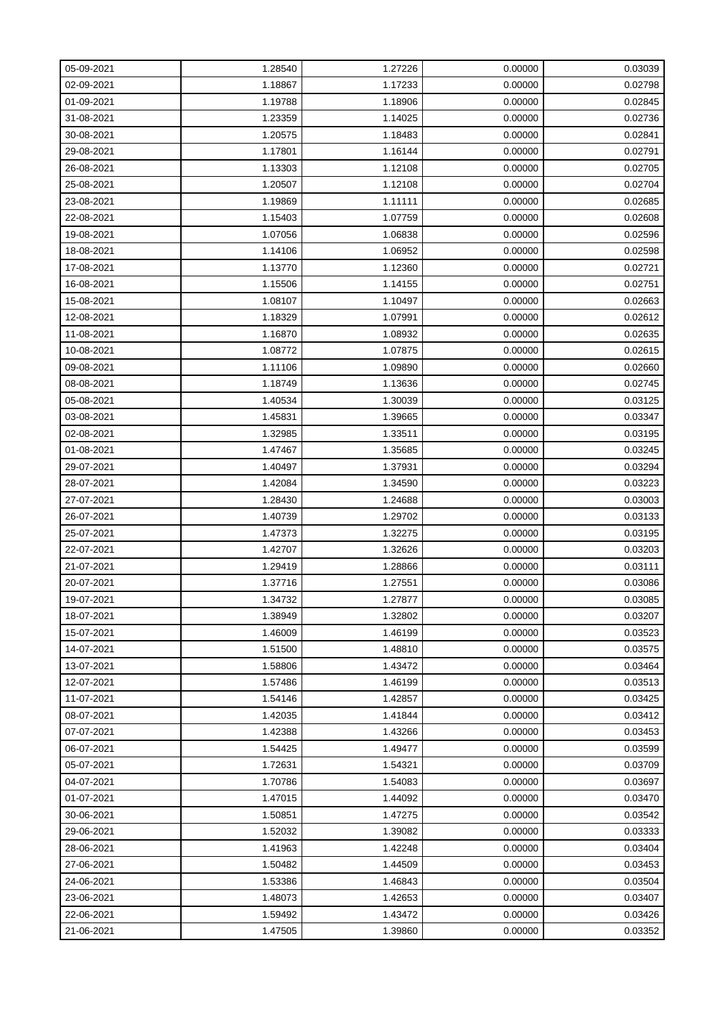| 05-09-2021 | 1.28540 | 1.27226 | 0.00000 | 0.03039 |
|------------|---------|---------|---------|---------|
| 02-09-2021 | 1.18867 | 1.17233 | 0.00000 | 0.02798 |
| 01-09-2021 | 1.19788 | 1.18906 | 0.00000 | 0.02845 |
| 31-08-2021 | 1.23359 | 1.14025 | 0.00000 | 0.02736 |
| 30-08-2021 | 1.20575 | 1.18483 | 0.00000 | 0.02841 |
| 29-08-2021 | 1.17801 | 1.16144 | 0.00000 | 0.02791 |
| 26-08-2021 | 1.13303 | 1.12108 | 0.00000 | 0.02705 |
| 25-08-2021 | 1.20507 | 1.12108 | 0.00000 | 0.02704 |
| 23-08-2021 | 1.19869 | 1.11111 | 0.00000 | 0.02685 |
| 22-08-2021 | 1.15403 | 1.07759 | 0.00000 | 0.02608 |
| 19-08-2021 | 1.07056 | 1.06838 | 0.00000 | 0.02596 |
| 18-08-2021 | 1.14106 | 1.06952 | 0.00000 | 0.02598 |
| 17-08-2021 | 1.13770 | 1.12360 | 0.00000 | 0.02721 |
| 16-08-2021 | 1.15506 | 1.14155 | 0.00000 | 0.02751 |
| 15-08-2021 | 1.08107 | 1.10497 | 0.00000 | 0.02663 |
| 12-08-2021 | 1.18329 | 1.07991 | 0.00000 | 0.02612 |
| 11-08-2021 | 1.16870 | 1.08932 | 0.00000 | 0.02635 |
| 10-08-2021 | 1.08772 | 1.07875 | 0.00000 | 0.02615 |
| 09-08-2021 | 1.11106 | 1.09890 | 0.00000 | 0.02660 |
| 08-08-2021 | 1.18749 | 1.13636 | 0.00000 | 0.02745 |
| 05-08-2021 | 1.40534 | 1.30039 | 0.00000 | 0.03125 |
| 03-08-2021 | 1.45831 | 1.39665 | 0.00000 | 0.03347 |
| 02-08-2021 | 1.32985 | 1.33511 | 0.00000 | 0.03195 |
| 01-08-2021 | 1.47467 | 1.35685 | 0.00000 | 0.03245 |
| 29-07-2021 | 1.40497 | 1.37931 | 0.00000 | 0.03294 |
| 28-07-2021 | 1.42084 | 1.34590 | 0.00000 | 0.03223 |
| 27-07-2021 | 1.28430 | 1.24688 | 0.00000 | 0.03003 |
| 26-07-2021 | 1.40739 | 1.29702 | 0.00000 | 0.03133 |
| 25-07-2021 | 1.47373 | 1.32275 | 0.00000 | 0.03195 |
| 22-07-2021 | 1.42707 | 1.32626 | 0.00000 | 0.03203 |
| 21-07-2021 | 1.29419 | 1.28866 | 0.00000 | 0.03111 |
| 20-07-2021 | 1.37716 | 1.27551 | 0.00000 | 0.03086 |
| 19-07-2021 | 1.34732 | 1.27877 | 0.00000 | 0.03085 |
| 18-07-2021 | 1.38949 | 1.32802 | 0.00000 | 0.03207 |
| 15-07-2021 | 1.46009 | 1.46199 | 0.00000 | 0.03523 |
| 14-07-2021 | 1.51500 | 1.48810 | 0.00000 | 0.03575 |
| 13-07-2021 | 1.58806 | 1.43472 | 0.00000 | 0.03464 |
| 12-07-2021 | 1.57486 | 1.46199 | 0.00000 | 0.03513 |
| 11-07-2021 | 1.54146 | 1.42857 | 0.00000 | 0.03425 |
| 08-07-2021 | 1.42035 | 1.41844 | 0.00000 | 0.03412 |
| 07-07-2021 | 1.42388 | 1.43266 | 0.00000 | 0.03453 |
| 06-07-2021 | 1.54425 | 1.49477 | 0.00000 | 0.03599 |
| 05-07-2021 | 1.72631 | 1.54321 | 0.00000 | 0.03709 |
| 04-07-2021 | 1.70786 | 1.54083 | 0.00000 | 0.03697 |
| 01-07-2021 | 1.47015 | 1.44092 | 0.00000 | 0.03470 |
| 30-06-2021 | 1.50851 | 1.47275 | 0.00000 | 0.03542 |
| 29-06-2021 | 1.52032 | 1.39082 | 0.00000 | 0.03333 |
| 28-06-2021 | 1.41963 | 1.42248 | 0.00000 | 0.03404 |
| 27-06-2021 | 1.50482 | 1.44509 | 0.00000 | 0.03453 |
| 24-06-2021 | 1.53386 | 1.46843 | 0.00000 | 0.03504 |
| 23-06-2021 | 1.48073 | 1.42653 | 0.00000 | 0.03407 |
| 22-06-2021 | 1.59492 | 1.43472 | 0.00000 | 0.03426 |
| 21-06-2021 | 1.47505 | 1.39860 | 0.00000 | 0.03352 |